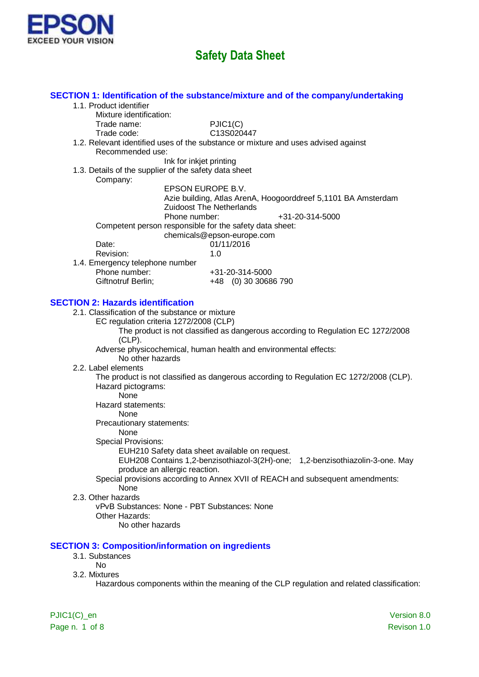

|                                                          | SECTION 1: Identification of the substance/mixture and of the company/undertaking         |
|----------------------------------------------------------|-------------------------------------------------------------------------------------------|
| 1.1. Product identifier                                  |                                                                                           |
| Mixture identification:                                  |                                                                                           |
| Trade name:                                              | PJIC1(C)                                                                                  |
| Trade code:                                              | C13S020447                                                                                |
|                                                          | 1.2. Relevant identified uses of the substance or mixture and uses advised against        |
| Recommended use:                                         |                                                                                           |
|                                                          | Ink for inkjet printing                                                                   |
| 1.3. Details of the supplier of the safety data sheet    |                                                                                           |
| Company:                                                 |                                                                                           |
|                                                          | EPSON EUROPE B.V.                                                                         |
|                                                          | Azie building, Atlas ArenA, Hoogoorddreef 5,1101 BA Amsterdam                             |
|                                                          | <b>Zuidoost The Netherlands</b>                                                           |
|                                                          | Phone number:<br>+31-20-314-5000                                                          |
|                                                          | Competent person responsible for the safety data sheet:                                   |
|                                                          | chemicals@epson-europe.com                                                                |
| Date:                                                    | 01/11/2016                                                                                |
| Revision:                                                | 1.0                                                                                       |
| 1.4. Emergency telephone number<br>Phone number:         |                                                                                           |
| Giftnotruf Berlin;                                       | +31-20-314-5000<br>+48 (0) 30 30686 790                                                   |
|                                                          |                                                                                           |
| <b>SECTION 2: Hazards identification</b>                 |                                                                                           |
| 2.1. Classification of the substance or mixture          |                                                                                           |
| EC regulation criteria 1272/2008 (CLP)                   |                                                                                           |
|                                                          | The product is not classified as dangerous according to Regulation EC 1272/2008           |
| $(CLP)$ .                                                |                                                                                           |
| No other hazards                                         | Adverse physicochemical, human health and environmental effects:                          |
| 2.2. Label elements                                      |                                                                                           |
|                                                          | The product is not classified as dangerous according to Regulation EC 1272/2008 (CLP).    |
| Hazard pictograms:                                       |                                                                                           |
| None                                                     |                                                                                           |
| Hazard statements:                                       |                                                                                           |
| None                                                     |                                                                                           |
| Precautionary statements:                                |                                                                                           |
| None                                                     |                                                                                           |
| <b>Special Provisions:</b>                               |                                                                                           |
|                                                          | EUH210 Safety data sheet available on request.                                            |
|                                                          | EUH208 Contains 1,2-benzisothiazol-3(2H)-one;<br>1,2-benzisothiazolin-3-one. May          |
| produce an allergic reaction.                            |                                                                                           |
|                                                          | Special provisions according to Annex XVII of REACH and subsequent amendments:            |
| None<br>2.3. Other hazards                               |                                                                                           |
| vPvB Substances: None - PBT Substances: None             |                                                                                           |
| Other Hazards:                                           |                                                                                           |
| No other hazards                                         |                                                                                           |
|                                                          |                                                                                           |
| <b>SECTION 3: Composition/information on ingredients</b> |                                                                                           |
| 3.1. Substances                                          |                                                                                           |
| <b>No</b>                                                |                                                                                           |
| 3.2. Mixtures                                            |                                                                                           |
|                                                          | Hazardous components within the meaning of the CLP regulation and related classification: |
|                                                          |                                                                                           |
|                                                          |                                                                                           |

Page n. 1 of 8 Revison 1.0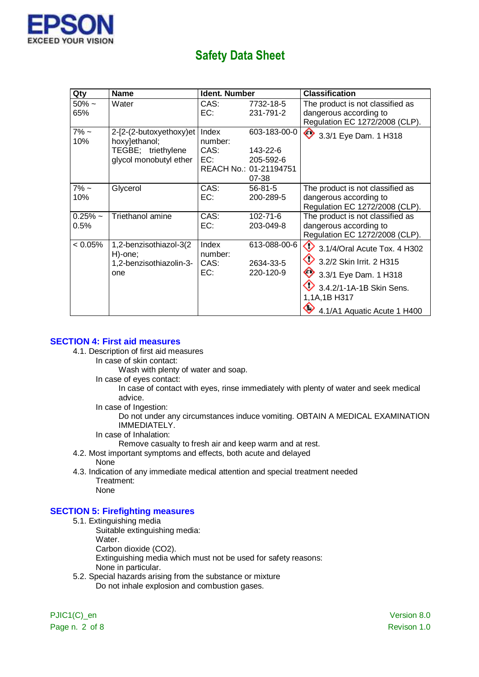

| Qty        | <b>Name</b>                        | <b>Ident. Number</b> |                        | <b>Classification</b>                              |
|------------|------------------------------------|----------------------|------------------------|----------------------------------------------------|
| $50\%$ ~   | Water                              | CAS:                 | 7732-18-5              | The product is not classified as                   |
| 65%        |                                    | EC:                  | 231-791-2              | dangerous according to                             |
|            |                                    |                      |                        | Regulation EC 1272/2008 (CLP).                     |
| $7\%$ ~    | 2-[2-(2-butoxyethoxy)et            | Index                | 603-183-00-0           | 3.3/1 Eye Dam. 1 H318                              |
| 10%        | hoxy]ethanol;                      | number:              |                        |                                                    |
|            | TEGBE; triethylene                 | CAS:                 | 143-22-6               |                                                    |
|            | glycol monobutyl ether             | EC:                  | 205-592-6              |                                                    |
|            |                                    |                      | REACH No.: 01-21194751 |                                                    |
|            |                                    |                      | 07-38                  |                                                    |
| $7\%$ ~    | Glycerol                           | CAS:                 | $56 - 81 - 5$          | The product is not classified as                   |
| 10%        |                                    | EC:                  | 200-289-5              | dangerous according to                             |
|            |                                    |                      |                        | Regulation EC 1272/2008 (CLP).                     |
| $0.25%$ ~  | Triethanol amine                   | CAS:                 | 102-71-6               | The product is not classified as                   |
| 0.5%       |                                    | EC:                  | 203-049-8              | dangerous according to                             |
|            |                                    |                      |                        | Regulation EC 1272/2008 (CLP).                     |
| $< 0.05\%$ | 1,2-benzisothiazol-3(2             | Index                | 613-088-00-6           | $\overline{\text{Q}}$ 3.1/4/Oral Acute Tox. 4 H302 |
|            | H)-one;<br>1,2-benzisothiazolin-3- | number:<br>CAS:      | 2634-33-5              | 3.2/2 Skin Irrit. 2 H315                           |
|            | one                                | EC:                  | 220-120-9              | 3.3/1 Eye Dam. 1 H318                              |
|            |                                    |                      |                        | 3.4.2/1-1A-1B Skin Sens.                           |
|            |                                    |                      |                        | 1,1A,1B H317                                       |
|            |                                    |                      |                        | 4.1/A1 Aquatic Acute 1 H400                        |

#### **SECTION 4: First aid measures**

- 4.1. Description of first aid measures
	- In case of skin contact:
		- Wash with plenty of water and soap.
	- In case of eyes contact:
		- In case of contact with eyes, rinse immediately with plenty of water and seek medical advice.
	- In case of Ingestion:

Do not under any circumstances induce vomiting. OBTAIN A MEDICAL EXAMINATION IMMEDIATELY.

- In case of Inhalation:
	- Remove casualty to fresh air and keep warm and at rest.
- 4.2. Most important symptoms and effects, both acute and delayed
	- None
- 4.3. Indication of any immediate medical attention and special treatment needed Treatment:

None

### **SECTION 5: Firefighting measures**

- 5.1. Extinguishing media
	- Suitable extinguishing media:
	- Water.
	- Carbon dioxide (CO2).

Extinguishing media which must not be used for safety reasons:

- None in particular.
- 5.2. Special hazards arising from the substance or mixture Do not inhale explosion and combustion gases.

Page n. 2 of 8 Revison 1.0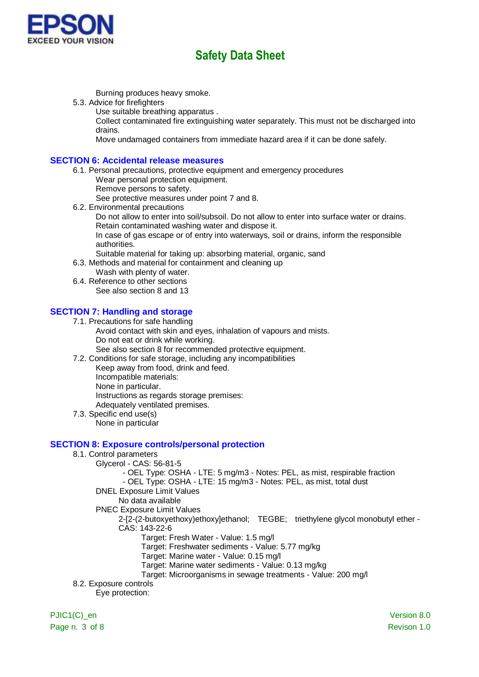

Burning produces heavy smoke.

- 5.3. Advice for firefighters
	- Use suitable breathing apparatus .

Collect contaminated fire extinguishing water separately. This must not be discharged into drains.

Move undamaged containers from immediate hazard area if it can be done safely.

#### **SECTION 6: Accidental release measures**

- 6.1. Personal precautions, protective equipment and emergency procedures
	- Wear personal protection equipment.
	- Remove persons to safety.

See protective measures under point 7 and 8.

6.2. Environmental precautions

Do not allow to enter into soil/subsoil. Do not allow to enter into surface water or drains. Retain contaminated washing water and dispose it.

In case of gas escape or of entry into waterways, soil or drains, inform the responsible authorities.

- Suitable material for taking up: absorbing material, organic, sand
- 6.3. Methods and material for containment and cleaning up
	- Wash with plenty of water.
- 6.4. Reference to other sections See also section 8 and 13

### **SECTION 7: Handling and storage**

- 7.1. Precautions for safe handling Avoid contact with skin and eyes, inhalation of vapours and mists. Do not eat or drink while working. See also section 8 for recommended protective equipment.
- 7.2. Conditions for safe storage, including any incompatibilities Keep away from food, drink and feed.
	- Incompatible materials:
	- None in particular.

Instructions as regards storage premises:

- Adequately ventilated premises.
- 7.3. Specific end use(s) None in particular

#### **SECTION 8: Exposure controls/personal protection**

- 8.1. Control parameters
	- Glycerol CAS: 56-81-5

- OEL Type: OSHA - LTE: 5 mg/m3 - Notes: PEL, as mist, respirable fraction

- OEL Type: OSHA - LTE: 15 mg/m3 - Notes: PEL, as mist, total dust

- DNEL Exposure Limit Values
	- No data available
- PNEC Exposure Limit Values
	- 2-[2-(2-butoxyethoxy)ethoxy]ethanol; TEGBE; triethylene glycol monobutyl ether CAS: 143-22-6
		- Target: Fresh Water Value: 1.5 mg/l
		- Target: Freshwater sediments Value: 5.77 mg/kg
		- Target: Marine water Value: 0.15 mg/l
		- Target: Marine water sediments Value: 0.13 mg/kg
		- Target: Microorganisms in sewage treatments Value: 200 mg/l
- 8.2. Exposure controls

Eye protection:

PJIC1(C) en Version 8.0 Page n. 3 of 8 Revison 1.0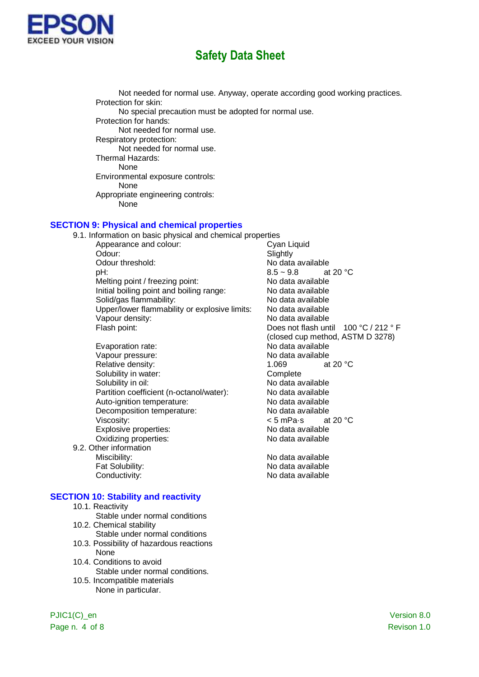

Not needed for normal use. Anyway, operate according good working practices. Protection for skin: No special precaution must be adopted for normal use. Protection for hands: Not needed for normal use. Respiratory protection: Not needed for normal use. Thermal Hazards: None Environmental exposure controls: None Appropriate engineering controls: None

#### **SECTION 9: Physical and chemical properties**

9.1. Information on basic physical and chemical properties<br>Appearance and colour: Cyan Liquid Appearance and colour: Odour: Slightly Odour threshold:  $NQ = NQ$  No data available<br>  $R = 8.5 \approx 9.8$  at 20 °C pH:  $8.5 \sim 9.8$ Melting point / freezing point: No data available Initial boiling point and boiling range: No data available Solid/gas flammability: No data available Upper/lower flammability or explosive limits: No data available Vapour density: No data available Flash point: The Contract of the Does not flash until 100 °C / 212 ° F

- Evaporation rate: No data available Vapour pressure:<br>
Relative density:<br>
Relative density:<br>
1 069 at 20 °C. Relative density: Solubility in water:<br>
Solubility in oil:<br>
Solubility in oil:<br>
Complete Rolubility in oil: Partition coefficient (n-octanol/water): No data available Auto-ignition temperature: No data available Decomposition temperature: No data available Viscosity:  $\leq$  5 mPa·s at 20 °C<br>Explosive properties:  $\leq$  No data available Explosive properties:<br>
Oxidizing properties:<br>
Oxidizing properties:<br>
No data available Oxidizing properties:
- 9.2. Other information Miscibility: Miscibility: No data available Fat Solubility: No data available Conductivity: Conductivity: No data available

#### **SECTION 10: Stability and reactivity**

- 10.1. Reactivity
- Stable under normal conditions 10.2. Chemical stability
- Stable under normal conditions
- 10.3. Possibility of hazardous reactions None
- 10.4. Conditions to avoid Stable under normal conditions.
- 10.5. Incompatible materials None in particular.

(closed cup method, ASTM D 3278) No data available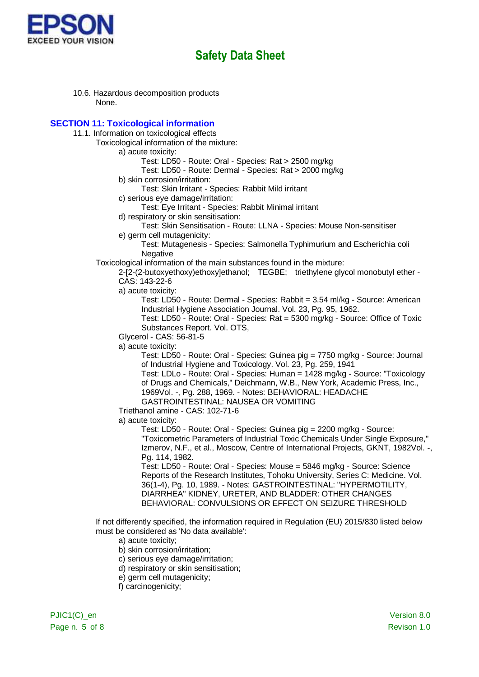

10.6. Hazardous decomposition products None.

### **SECTION 11: Toxicological information**

- 11.1. Information on toxicological effects
	- Toxicological information of the mixture:

a) acute toxicity:

- Test: LD50 Route: Oral Species: Rat > 2500 mg/kg
- Test: LD50 Route: Dermal Species: Rat > 2000 mg/kg
- b) skin corrosion/irritation:

Test: Skin Irritant - Species: Rabbit Mild irritant

- c) serious eye damage/irritation:
	- Test: Eye Irritant Species: Rabbit Minimal irritant
- d) respiratory or skin sensitisation:
	- Test: Skin Sensitisation Route: LLNA Species: Mouse Non-sensitiser
- e) germ cell mutagenicity:
	- Test: Mutagenesis Species: Salmonella Typhimurium and Escherichia coli Negative
- Toxicological information of the main substances found in the mixture:
	- 2-[2-(2-butoxyethoxy)ethoxy]ethanol; TEGBE; triethylene glycol monobutyl ether CAS: 143-22-6
	- a) acute toxicity:
		- Test: LD50 Route: Dermal Species: Rabbit = 3.54 ml/kg Source: American Industrial Hygiene Association Journal. Vol. 23, Pg. 95, 1962.
		- Test: LD50 Route: Oral Species: Rat = 5300 mg/kg Source: Office of Toxic Substances Report. Vol. OTS,
	- Glycerol CAS: 56-81-5
	- a) acute toxicity:
		- Test: LD50 Route: Oral Species: Guinea pig = 7750 mg/kg Source: Journal of Industrial Hygiene and Toxicology. Vol. 23, Pg. 259, 1941
		- Test: LDLo Route: Oral Species: Human = 1428 mg/kg Source: "Toxicology of Drugs and Chemicals," Deichmann, W.B., New York, Academic Press, Inc., 1969Vol. -, Pg. 288, 1969. - Notes: BEHAVIORAL: HEADACHE
		- GASTROINTESTINAL: NAUSEA OR VOMITING
	- Triethanol amine CAS: 102-71-6
	- a) acute toxicity:
		- Test: LD50 Route: Oral Species: Guinea pig = 2200 mg/kg Source: "Toxicometric Parameters of Industrial Toxic Chemicals Under Single Exposure," Izmerov, N.F., et al., Moscow, Centre of International Projects, GKNT, 1982Vol. -, Pg. 114, 1982.
		- Test: LD50 Route: Oral Species: Mouse = 5846 mg/kg Source: Science Reports of the Research Institutes, Tohoku University, Series C: Medicine. Vol. 36(1-4), Pg. 10, 1989. - Notes: GASTROINTESTINAL: "HYPERMOTILITY, DIARRHEA" KIDNEY, URETER, AND BLADDER: OTHER CHANGES BEHAVIORAL: CONVULSIONS OR EFFECT ON SEIZURE THRESHOLD
- If not differently specified, the information required in Regulation (EU) 2015/830 listed below must be considered as 'No data available':
	- a) acute toxicity;
	- b) skin corrosion/irritation;
	- c) serious eye damage/irritation;
	- d) respiratory or skin sensitisation;
	- e) germ cell mutagenicity;
	- f) carcinogenicity;

PJIC1(C) en Version 8.0 Page n. 5 of 8 Revison 1.0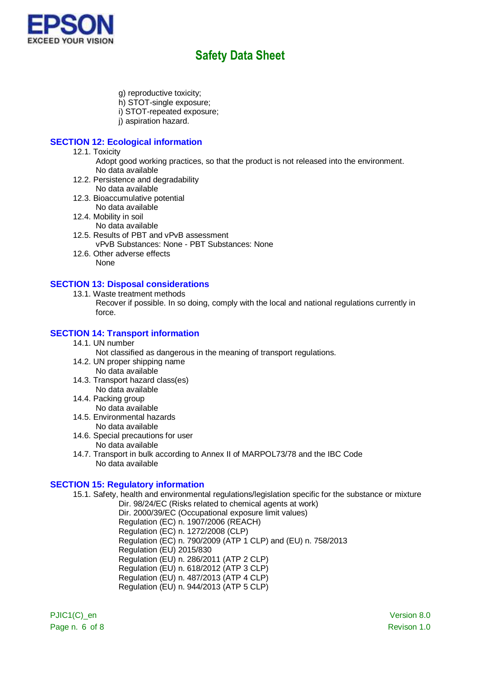

- g) reproductive toxicity;
- h) STOT-single exposure;
- i) STOT-repeated exposure;
- i) aspiration hazard.

### **SECTION 12: Ecological information**

- 12.1. Toxicity
	- Adopt good working practices, so that the product is not released into the environment. No data available
- 12.2. Persistence and degradability
	- No data available
- 12.3. Bioaccumulative potential No data available
- 12.4. Mobility in soil
	- No data available
- 12.5. Results of PBT and vPvB assessment vPvB Substances: None - PBT Substances: None
- 12.6. Other adverse effects None

### **SECTION 13: Disposal considerations**

13.1. Waste treatment methods

Recover if possible. In so doing, comply with the local and national regulations currently in force.

### **SECTION 14: Transport information**

14.1. UN number

Not classified as dangerous in the meaning of transport regulations.

- 14.2. UN proper shipping name No data available
- 14.3. Transport hazard class(es) No data available
- 14.4. Packing group
- No data available 14.5. Environmental hazards
- No data available
- 14.6. Special precautions for user No data available
- 14.7. Transport in bulk according to Annex II of MARPOL73/78 and the IBC Code No data available

### **SECTION 15: Regulatory information**

- 15.1. Safety, health and environmental regulations/legislation specific for the substance or mixture Dir. 98/24/EC (Risks related to chemical agents at work)
	- Dir. 2000/39/EC (Occupational exposure limit values) Regulation (EC) n. 1907/2006 (REACH) Regulation (EC) n. 1272/2008 (CLP) Regulation (EC) n. 790/2009 (ATP 1 CLP) and (EU) n. 758/2013 Regulation (EU) 2015/830 Regulation (EU) n. 286/2011 (ATP 2 CLP) Regulation (EU) n. 618/2012 (ATP 3 CLP) Regulation (EU) n. 487/2013 (ATP 4 CLP) Regulation (EU) n. 944/2013 (ATP 5 CLP)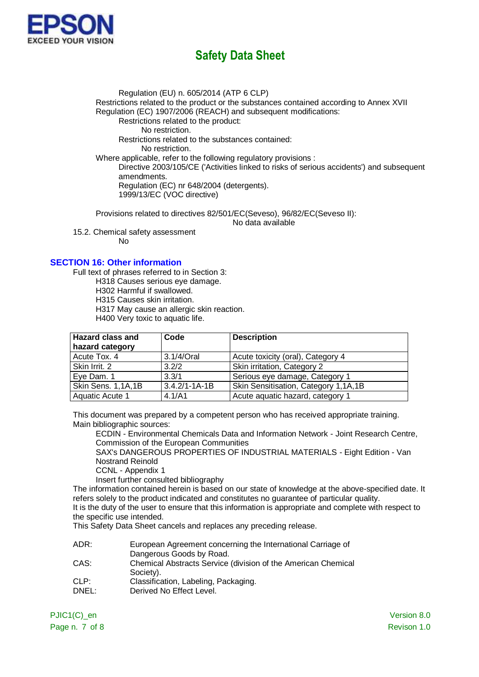

Regulation (EU) n. 605/2014 (ATP 6 CLP) Restrictions related to the product or the substances contained according to Annex XVII Regulation (EC) 1907/2006 (REACH) and subsequent modifications: Restrictions related to the product: No restriction. Restrictions related to the substances contained: No restriction. Where applicable, refer to the following regulatory provisions : Directive 2003/105/CE ('Activities linked to risks of serious accidents') and subsequent amendments. Regulation (EC) nr 648/2004 (detergents). 1999/13/EC (VOC directive)

Provisions related to directives 82/501/EC(Seveso), 96/82/EC(Seveso II): No data available

15.2. Chemical safety assessment

No

### **SECTION 16: Other information**

Full text of phrases referred to in Section 3:

H318 Causes serious eye damage.

H302 Harmful if swallowed.

H315 Causes skin irritation.

H317 May cause an allergic skin reaction.

H400 Very toxic to aquatic life.

| <b>Hazard class and</b> | Code                | <b>Description</b>                   |
|-------------------------|---------------------|--------------------------------------|
| hazard category         |                     |                                      |
| Acute Tox. 4            | 3.1/4/Oral          | Acute toxicity (oral), Category 4    |
| Skin Irrit. 2           | 3.2/2               | Skin irritation, Category 2          |
| Eye Dam. 1              | 3.3/1               | Serious eye damage, Category 1       |
| Skin Sens. 1,1A,1B      | $3.4.2/1 - 1A - 1B$ | Skin Sensitisation, Category 1,1A,1B |
| Aquatic Acute 1         | 4.1/A1              | Acute aquatic hazard, category 1     |

This document was prepared by a competent person who has received appropriate training. Main bibliographic sources:

ECDIN - Environmental Chemicals Data and Information Network - Joint Research Centre, Commission of the European Communities

SAX's DANGEROUS PROPERTIES OF INDUSTRIAL MATERIALS - Eight Edition - Van Nostrand Reinold

CCNL - Appendix 1

Insert further consulted bibliography

The information contained herein is based on our state of knowledge at the above-specified date. It refers solely to the product indicated and constitutes no guarantee of particular quality.

It is the duty of the user to ensure that this information is appropriate and complete with respect to the specific use intended.

This Safety Data Sheet cancels and replaces any preceding release.

| ADR:                      | European Agreement concerning the International Carriage of   |  |  |
|---------------------------|---------------------------------------------------------------|--|--|
|                           | Dangerous Goods by Road.                                      |  |  |
| $\cap$ $\wedge$ $\circ$ . | Chamical Abotracto Cangias (division of the American Chamical |  |  |

- CAS: Chemical Abstracts Service (division of the American Chemical Society).
- CLP: Classification, Labeling, Packaging.
- DNEL: Derived No Effect Level.

PJIC1(C) en Version 8.0 Page n. 7 of 8 Revison 1.0